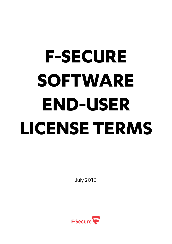# **F-SECURE SOFTWARE END-USER LICENSE TERMS**

July 2013

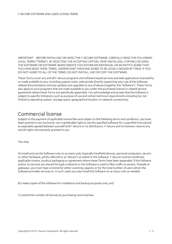IMPORTANT – BEFORE INSTALLING OR USING THE F-SECURE SOFTWARE, CAREFULLY READ THE FOLLOWING LEGAL TERMS ("TERMS"). BY SELECTING THE ACCEPTING OPTION, OR BY INSTALLING, COPYING OR USING THE SOFTWARE OR SOFTWARE-BASED SERVICE YOU (EITHER AN INDIVIDUAL OR AN ENTITY) AGREE THAT YOU HAVE READ THESE TERMS, UNDERSTAND THEM AND AGREE TO BE LEGALLY BOUND BY THEM. IF YOU DO NOT AGREE TO ALL OF THE TERMS, DO NOT INSTALL, USE OR COPY THE SOFTWARE.

These Terms cover any and all F-Secure programs and software based services and web applications licensed by or made available to you, including support tools, web portals directly supporting your use of the Software, related documentation and any updates and upgrades to any of above (together the "Software"). These Terms also apply to such programs that are made available to you under the purchased license or related service agreement where these Terms are specifically appended. You acknowledge and accept that the Software is subject to specific limitations such as purpose of use and certain technical requirements including but not limited to operating system, storage space, geographical location or network connectivity.

#### Commercial license

Subject to the payment of applicable license fees and subject to the following terms and conditions, you have been granted a non-exclusive, non-transferable right to use the specified Software for a specified time period as separately agreed between yourself and F-Secure or its distributors. F-Secure and its licensors reserve any and all rights not expressly granted to you.

You may:

A) install and use the Software only on as many units (typically handheld devices, personal computers, servers or other hardware, jointly referred to as "Device") as stated in the Software, F-Secure License Certificate, applicable invoice, product packaging or agreement where these Terms have been appended. If the Software and/or its services are shared through a network or the Software is used to filter traffic at servers, firewalls or gateways, you must have a license for either scanning capacity or for the total number of users whom the Software provides services to. In such cases you may install the Software on as many units as needed;

B) create copies of the Software for installation and backup purposes only; and

C) extend the number of licenses by purchasing more licenses.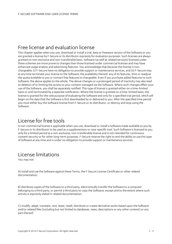# Free license and evaluation license

This chapter applies when you use, download or install a trial, beta or freeware version of the Software or you are granted a license by F-Secure or its distributor expressly for evaluation purposes. Such licenses are always granted on non-exclusive and non-transferable basis. Software (as well as related services) licensed under these schemes are more prone to changes than those licensed under commercial licenses and may have enhanced usage analysis and advertising features. You acknowledge that because the license is nonchargeable; (i) F-Secure have no obligation to provide support or maintenance services, and (ii) F-Secure may at any time terminate your license to the Software, the availability thereof, any of its features, limit or readjust the quota available to you or convert free features to chargeable. Even if you purchase added features to such Software, the above applies to the whole. The above changes or a prolonged period of inactivity may also lead to deletion of or limiting the access to your content managed via the Software. Where such changes effect your use of the Software, you shall be separately notified. This type of license is granted either on a time-limited basis or until terminated by a separate notification. Where the license is granted on a time-limited basis; the license is granted for the sole purpose of evaluating the Software and only for a specified trial period, which will begin on the date that the Software is first downloaded by or delivered to you. After the specified time period you must either buy the Software license from F-Secure or its distributor, or destroy and stop using the Software.

## License for free tools

A non-commercial license is applicable when you use, download or install a Software made available to you by F-Secure or its distributor to be used as a supplementary or case-specific tool. Such Software is licensed to you only for a limited period as a non-exclusive, non-transferable license and is not intended for continuous content security or for other long-term purposes. F-Secure reserve the right to end the ability to use this type of Software at any time and is under no obligation to provide support or maintenance services.

# License limitations

You may not:

A) install and use the Software against these Terms, the F-Secure License Certificate or other related documentation;

B) distribute copies of the Software to a third party, electronically transfer the Software to a computer belonging to a third party, or permit a third party to copy the Software, except and to the extent where such activity is expressly stated in related documentation;

C) modify, adapt, translate, rent, lease, resell, distribute or create derivative works based upon the Software and/or related files (including but not limited to databases, news, descriptions or any other content) or any part thereof;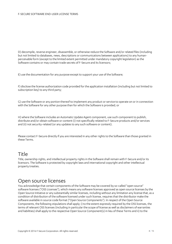D) decompile, reverse engineer, disassemble, or otherwise reduce the Software and/or related files (including but not limited to databases, news, descriptions or communications between applications) to any humanperceivable form (except to the limited extent permitted under mandatory copyright legislation) as the Software contains or may contain trade secrets of F-Secure and its licensors;

E) use the documentation for any purpose except to support your use of the Software;

F) disclose the license authorization code provided for the application installation (including but not limited to subscription key) to any third party;

G) use the Software or any portion thereof to implement any product or service to operate on or in connection with the Software for any other purpose than for which the Software is provided; or

H) where the Software includes an Automatic Update Agent component, use such component to publish, distribute and/or obtain software or content (i) not specifically related to F-Secure products and/or services and (ii) not security-related (or any updates to any such software or content).

Please contact F-Secure directly if you are interested in any other rights to the Software than those granted in these Terms.

#### Title

Title, ownership rights, and intellectual property rights in the Software shall remain with F-Secure and/or its licensors. The Software is protected by copyright laws and international copyright and other intellectual property treaties.

#### Open source licenses

You acknowledge that certain components of the Software may be covered by so-called "open source" software licenses ("OSS Licenses"), which means any software licenses approved as open source licenses by the Open Source Initiative or any substantially similar licenses, including without any limitation any license that, as a condition of distribution of the software licensed under such license, requires that the distributor make the software available in source code format ("Open Source Components"). In respect of the Open Source Components, the following stipulations shall apply; i) to the extent expressly required by the OSS licenses, the terms of relevant OSS licenses (including in particular the scope of license as well as disclaimers of warranties and liabilities) shall apply to the respective Open Source Component(s) in lieu of these Terms and ii) to the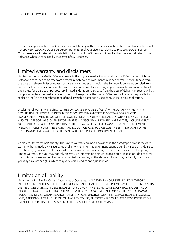extent the applicable terms of OSS Licenses prohibit any of the restrictions in these Terms such restrictions will not apply to respective Open Source Components. Such OSS Licenses relating to respective Open Source Components are located at the installation directory of the Software or in such other place as indicated in the Software, when so required by the terms of OSS Licenses.

# Limited warranty and disclaimers

Limited Warranty on Media. F-Secure warrants the physical media, if any, produced by F-Secure on which the Software is recorded to be free from defects in material and workmanship under normal use for 30 days from the date of delivery. F-Secure does not give any warranties on media if the Software is delivered bundled in or with a third party Device. Any implied warranties on the media, including implied warranties of merchantability and fitness for a particular purpose, are limited in duration to 30 days from the date of delivery. F-Secure will, at its option, replace the media or refund the purchase price of the media. F-Secure shall have no responsibility to replace or refund the purchase price of media which is damaged by accident, abuse, or misapplication.

Disclaimer of Warranty on Software. THE SOFTWARE IS PROVIDED "AS IS", WITHOUT ANY WARRANTY. F-SECURE, ITS LICENSORS AND DISTRIBUTORS DO NOT GUARANTEE THE SOFTWARE OR RELATED DOCUMENTATION IN TERMS OF THEIR CORRECTNESS, ACCURACY, RELIABILITY, OR OTHERWISE. F-SECURE AND ITS LICENSORS AND DISTRIBUTORS EXPRESSLY DISCLAIM ALL IMPLIED WARRANTIES, INCLUDING BUT NOT LIMITED TO IMPLIED WARRANTIES OF TITLE, AVAILABILITY, PERFORMANCE, NON-INFRINGEMENT, MERCHANTABILITY OR FITNESS FOR A PARTICULAR PURPOSE. YOU ASSUME THE ENTIRE RISK AS TO THE RESULTS AND PERFORMANCE OF THE SOFTWARE AND RELATED DOCUMENTATION.

Complete Statement of Warranty. The limited warranty on media provided in the paragraph above is the only warranty that is made by F-Secure. No oral or written information or instructions given by F-Secure, its dealers, distributors, agents, or employees shall create a warranty or in any way increase the scope of the foregoing limited warranty and you may not rely on any such information or instructions. Some jurisdictions do not allow the limitation or exclusion of express or implied warranties, so the above exclusion may not apply to you, and you may have other rights, which may vary from jurisdiction to jurisdiction.

## Limitation of liability

Limitation of Liability for Certain Categories of Damages. IN NO EVENT AND UNDER NO LEGAL THEORY, INCLUDING BUT NOT LIMITED TO TORT OR CONTRACT, SHALL F-SECURE, ITS EMPLOYEES, ITS LICENSORS, ITS DISTRIBUTORS OR ITS SUPPLIERS BE LIABLE TO YOU FOR ANY SPECIAL, CONSEQUENTIAL, INCIDENTAL OR INDIRECT DAMAGES, INCLUDING, BUT NOT LIMITED TO, LOSS OF REVENUE OR PROFIT, LOST OR DAMAGED DATA, FILES, DEVICE OR APPLICATION FAILURE OR MALFUNCTION OR OTHER COMMERCIAL OR ECONOMIC LOSS, ARISING OUT OF THE USE OF, OR INABILITY TO USE, THE SOFTWARE OR RELATED DOCUMENTATION, EVEN IF F-SECURE HAS BEEN ADVISED OF THE POSSIBILITY OF SUCH DAMAGES.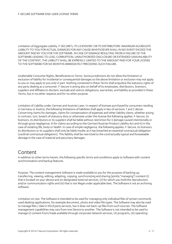Limitation of Aggregate Liability. F-SECURE'S, ITS LICENSORS' OR ITS DISTRIBUTORS' MAXIMUM AGGREGATE LIABILITY TO YOU FOR ACTUAL DAMAGES FOR ANY CAUSE WHATSOEVER SHALL IN NO EVENT EXCEED THE AMOUNT PAID BY YOU FOR THE SOFTWARE. IN CASE OF DAMAGE RESULTING FROM A FAILURE OF THE SOFTWARE LEADING TO LOSS, CORRUPTION, UNAUTHORIZED DISCLOSURE OR EXTENDED UNAVAILABILITY OF THE CONTENT, THE LIABILITY SHALL BE EXPRESSLY LIMITED TO THE AMOUNT PAID FOR YOUR LICENSE TO THE SOFTWARE FOR SIX MONTHS IMMEDIATELY PRECEDING SUCH FAILURE.

Unalienable Consumer Rights, Beneficiaries to Terms. Some jurisdictions do not allow the limitation or exclusion of liability for incidental or consequential damages so the above limitation or exclusion may not apply to you or may apply to you only in part. Nothing contained in these Terms shall prejudice the statutory rights of any party dealing as a consumer. F-Secure is acting also on behalf of its employees, distributors, licensors, suppliers and affiliates to disclaim, exclude and restrict obligations, warranties, and liability as provided in these Terms, but in no other respects and for no other purpose.

Limitation of Liability under German and Austrian Laws. In respect of licenses purchased by consumers residing in Germany or Austria, the following limitations of liabilities shall apply in lieu of sections 1 and 2 above: Concerning claims for damages, claims for compensation of expenses and other liability claims, whether arising in contract, tort, breach of statutory duty or otherwise under this license the following applies: F-Secure, its licensors, its distributors or its suppliers shall be liable without restriction for i) damage caused intentionally or through gross negligence, ii) for claims according to the German/Austrian Product Liability Act and iii) in the case of violating life, body or health. In case of simple negligence, the following applies: F-Secure, its licensors, its distributors or its suppliers shall only be liable insofar as it has breached an essential contractual obligation (cardinal contractual obligation). This liability shall be restricted to the contractually typical and foreseeable damage in the case of material and pecuniary damages.

#### Content

In addition to other terms herein, the following specific terms and conditions apply to Software with content synchronization and backup features.

Purpose. The content management Software is made available to you for the purpose of backing up, transferring, viewing, editing, adapting, copying, synchronizing and sharing (jointly "managing") content (i) that is located on your device and on designated external services, (ii) for which you hold the reproduction and/or communication rights and (iii) that is not illegal under applicable laws. The Software is not an archiving software.

Limitation on Use. The Software is intended to be used for managing only individual files of certain commonly used desktop applications, for example document, photo and video file types. The Software may also be used to manage files / data in third party services, but it does not back-up files from such sources. The Software management capabilities may vary from one Device to another. The Software is not intended to be used to manage (i) content from/made available through corporate network services, (ii) programs, (iii) operating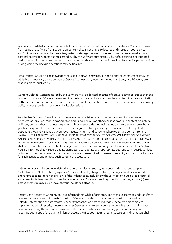systems or (iv) data formats commonly held on servers such as but not limited to databases. You shall refrain from using the Software from backing up content that is not primarily located and stored on your Device and/or internal computer hardware (e.g. external storage devices or content stored on an internal and/or external network). Operations are carried out by the Software automatically by default during a determined period depending on related technical constraints and thus no guarantee is provided for specific period of time during which the backup operations may be finalized.

Data Transfer Costs. You acknowledge that use of Software may result in additional data transfer costs. Such added costs may vary based on type of Device / connection / operator network and you, not F-Secure, are responsible for such costs.

Content Deleted. Content stored by the Software may be deleted because of Software settings, quota changes or your commands. F-Secure have no obligation to store any of your content beyond termination or expiration of the license, but may retain the content / data thereof for a limited period of time in accordance to its privacy policy or may provide a grace period at its discretion.

Permissible Content. You will refrain from managing any i) illegal or infringing content ii) any unlawful, offensive, abusive, obscene, pornographic, harassing, libelous or otherwise inappropriate content or material or iii) any content that is against the permissible content guidelines maintained by the operator from whom you have acquired the Software. You specifically agree to strictly abide by the provisions of the applicable copyright laws and warrant that you have necessary rights and consents where you share content to third parties. IN THIS RESPECT, YOU ARE REMINDED THAT ANY REPRODUCTION, COMMUNICATION OF A WORK AND/OR ANY BROADCASTING OF A PERFORMANCE, AN AUDIO RECORDING OR A VIDEO RECORDING MADE WITHOUT AUTHORIZATION MAY CONSTITUTE AN OFFENCE OR A COPYRIGHT INFRINGEMENT. You alone shall be responsible for the content managed via the Software and more generally for your use of the Software. You are informed that F-Secure and its distributors co-operate with appropriate authorities in regards to illegal or infringing content shared or transferred by you and are entitled to cease or prevent your use of the Software for such activities and remove such content or access to it.

Indemnity. You shall indemnify, defend and hold harmless F-Secure, its licensors, distributors, suppliers (collectively the "Indemnitees") against (i) any and all costs, charges, claims, damages, liabilities incurred and/or proceedings taken against any of the Indemnitees, including without limitation outside legal counsel and consultants fees, resulting from illegal conduct and/or violation of rights of third parties, and/or (ii) any damage that you may cause through your use of the Software.

Security and Access to Content. You are informed that while efforts are taken to make access to and transfer of content secure against third party intrusion, F-Secure provides no guarantees against intrusions due to unlawful interception of data transfers, security breaches on data repositories, incorrect or incomplete implementations of security measures on user Devices or browsers. You are responsible for managing your content, including the access permissions to the content. When you are sharing your content, anyone receiving your copy of the sharing link may access the files you have shared. F-Secure or its distributors shall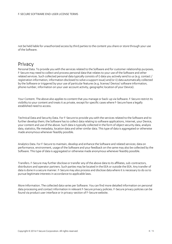not be held liable for unauthorized access by third parties to the content you share or store through your use of the Software.

#### Privacy

Personal Data. To provide you with the services related to the Software and for customer relationship purposes, F-Secure may need to collect and process personal data that relates to your use of the Software and other related services. Such collected personal data typically consists of i) data you actively send to us (e.g. contact / registration information, information disclosed to solve a support issue) and/or ii) data automatically collected by the Software or triggered by your use of particular features (e.g. license/ Device/ software information, phone number, information on your user account activity, geographic location of your Device).

Your Content. The above also applies to content that you manage or back-up via Software. F-Secure restrict its visibility to your content and treats it as private, except for specific cases where F-Secure have a legally established need to access.

Technical Data and Security Data. For F-Secure to provide you with the services related to the Software and to further develop them; the Software has to collect data relating to software applications, Internet, your Device, your content and use of the above. Such data is typically collected in the form of object security data, analysis data, statistics, file metadata, location data and other similar data. This type of data is aggregated or otherwise made anonymous whenever feasibly possible.

Analytics Data. For F-Secure to maintain, develop and enhance the Software and related services; data on performance, environment, usage of the Software and your feedback on the same may also be collected by the Software. This type of data is aggregated or otherwise made anonymous whenever feasibly possible.

Transfers. F-Secure may further disclose or transfer any of the above data to its affiliates, sub-contractors, distributors and operator partners. Such parties may be located in the EEA or outside the EEA. Any transfer of data is done in a secure manner. F-Secure may also process and disclose data where it is necessary to do so to pursue legitimate interests in accordance to applicable laws.

More Information. The collected data varies per Software. You can find more detailed information on personal data processing and contact information in relevant F-Secure privacy policies. F-Secure privacy policies can be found via product user interface or in privacy-section of F-Secure website.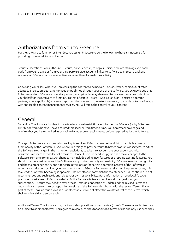# Authorizations from you to F-Secure

For the Software to function as intended, you assign F-Secure to do the following where it is necessary for providing the related Services to you.

Security Operations. You authorize F-Secure, on your behalf, to copy suspicious files containing executable code from your Device or from your third party service accounts linked to Software to F-Secure backend systems, so F-Secure can more effectively analyse them for malicious activity.

Conveying Your Files. Where you are causing the content to be backed up, transferred, copied, duplicated, adapted, altered, utilized, synchronized or published through your use of the Software, you acknowledge that F-Secure (and/or F-Secure's operator partner, as applicable) may also need to process the same content on your behalf for the Software to function. To that effect; you grant F-Secure (and/or F-Secure's operator partner, where applicable) a license to process the content to the extent necessary to enable us to provide you with applicable content management services. You will retain the control of your content.

#### General

Suitability. The Software is subject to certain functional restrictions as informed by F-Secure (or by F-Secure's distributor from whom you have acquired this license) from time to time. You hereby acknowledge and confirm that you have checked its suitability for your own requirements before registering for the Software.

Changes. F-Secure are constantly improving its services. F-Secure reserve the right to modify features or functionality of the Software. F-Secure do such things to provide you with better products or services, to adjust the Software to changes in the market or regulations, to take into account any subsequent technical constraints or for other similar, valid reasons. Hence, F-Secure need to upgrade and make changes to the Software from time to time. Such changes may include adding new features or dropping existing features. You should use the latest version of the Software for optimized security and usability. F-Secure reserve the right to end the maintenance and support for certain versions or for certain operation systems of the Software in accordance to its product life cycle practices. As most F-Secure Software are reliant on frequent updates, this may lead to Software becoming inoperable. Use of Software, for which the maintenance is discontinued, is not recommended and such use is entirely at your own responsibility. More information on product life cycle practices is available on F-Secure website. As the Software is likely to evolve and change during your subscription, F-Secure may need to revise these Terms in connection of update and the revised Terms shall automatically apply to the corresponding versions of the Software distributed with the revised Terms. If any part of these Terms is found void and unenforceable, it will not affect the validity of rest of the Terms, which shall remain valid and enforceable.

Additional Terms. The Software may contain web applications or web portals ('sites'). The use of such sites may be subject to additional terms. You agree to review such sites for additional terms of use and only use such sites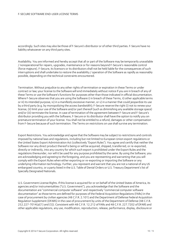accordingly. Such sites may also be those of F-Secure's distributor or of other third parties. F-Secure have no liability whatsoever on any third party sites.

Availability. You are informed and hereby accept that all or part of the Software may be temporarily unavailable / nonoperational for repairs, upgrades, maintenance or for reasons beyond F-Secure's reasonable control (force majeure). F-Secure, its licensors or its distributors shall not be held liable for the consequences of such interruptions and shall undertake to restore the availability / operation of the Software as rapidly as reasonably possible, depending on the technical constraints encountered.

Termination. Without prejudice to any other rights of termination or expiration in these Terms or under contract or law; your license to the Software will end immediately without notice if you are in breach of any of these Terms or use the Software's functions for purposes other than those indicated in official documentation. Where F-Secure observes that you are using the Software i) in breach of these Terms, ii) other applicable terms or iii) its intended purpose, iv) in a manifestly excessive manner, or v) in a manner that could jeopardize its use by a third party (e.g. by monopolizing the access bandwidth); F-Secure reserve the right (i) not to renew your license, (ii) limit your use of the Software and/or part thereof (such as diminishing any available storage space) and/or (iii) terminate the license. In case of termination of the agreement between F-Secure and F-Secure's distributor providing you with the Software, F-Secure or its distributor shall have the option to notify you on premature termination of your license. You shall not be entitled to a refund, damages or other compensation from F-Secure because of such termination. The Terms on restrictions on use shall survive any termination.

Export Restrictions. You acknowledge and agree that the Software may be subject to restrictions and controls imposed by national laws and regulations, including but not limited to European Union export regulations or the United States Export Administration Act (collectively "Export Rules"). You agree and certify that neither the Software nor any direct product thereof is being or will be acquired, shipped, transferred, or re-exported, directly or indirectly, into any country for which such export is prohibited under the Export Rules and the regulations thereunder, nor will it be used for any purpose prohibited by the same. By using the Software, you are acknowledging and agreeing to the foregoing, and you are representing and warranting that you will comply with the Export Rules when either exporting or re-exporting or importing the Software or any underlying information technology. Further, you represent and warrant that you are not a national of any US embargoed country, or a party listed in the U.S. Table of Denial Orders or U.S. Treasury Department's list of Specially Designated Nationals.

U.S. Government License Rights. If this license is acquired for or on behalf of the United States of America, its agencies and/or instrumentalities ("U.S. Government"), you acknowledge that the Software and the documentation are "commercial computer software" and respectively "commercial computer software documentation" as those terms are defined for purposes of the Federal Acquisition Regulations (FARs) in the case of procurement by civilian agencies (48 C.F.R. 2.101) and the Department of Defense Federal Acquisition Regulation Supplement (DFARS) in the case of procurement by units of the Department of Defense (48 C.F.R. 252.227-7014(a)(1) and (5)). Consistent with 48 C.F.R. 12.212 of FARs and 48 C.F.R. 227.7202 of DFARS and other applicable regulations, any use, modification, reproduction, release, performance, display, disclosure or